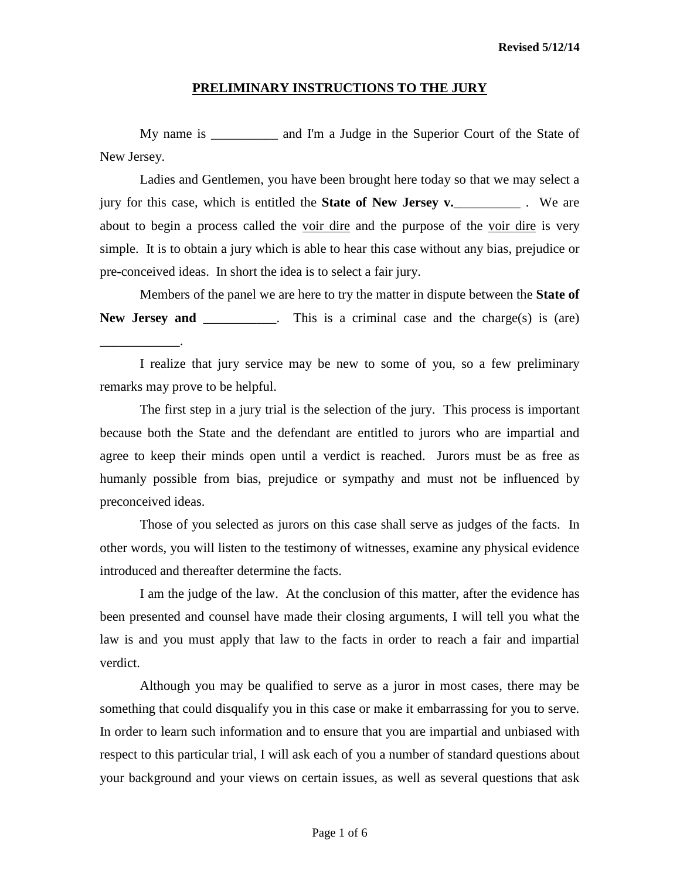My name is \_\_\_\_\_\_\_\_\_\_ and I'm a Judge in the Superior Court of the State of New Jersey.

Ladies and Gentlemen, you have been brought here today so that we may select a jury for this case, which is entitled the **State of New Jersey v.**\_\_\_\_\_\_\_\_\_\_ . We are about to begin a process called the voir dire and the purpose of the voir dire is very simple. It is to obtain a jury which is able to hear this case without any bias, prejudice or pre-conceived ideas. In short the idea is to select a fair jury.

Members of the panel we are here to try the matter in dispute between the **State of**  New **Jersey and** \_\_\_\_\_\_\_\_\_. This is a criminal case and the charge(s) is (are)

I realize that jury service may be new to some of you, so a few preliminary remarks may prove to be helpful.

\_\_\_\_\_\_\_\_\_\_\_\_.

The first step in a jury trial is the selection of the jury. This process is important because both the State and the defendant are entitled to jurors who are impartial and agree to keep their minds open until a verdict is reached. Jurors must be as free as humanly possible from bias, prejudice or sympathy and must not be influenced by preconceived ideas.

Those of you selected as jurors on this case shall serve as judges of the facts. In other words, you will listen to the testimony of witnesses, examine any physical evidence introduced and thereafter determine the facts.

I am the judge of the law. At the conclusion of this matter, after the evidence has been presented and counsel have made their closing arguments, I will tell you what the law is and you must apply that law to the facts in order to reach a fair and impartial verdict.

Although you may be qualified to serve as a juror in most cases, there may be something that could disqualify you in this case or make it embarrassing for you to serve. In order to learn such information and to ensure that you are impartial and unbiased with respect to this particular trial, I will ask each of you a number of standard questions about your background and your views on certain issues, as well as several questions that ask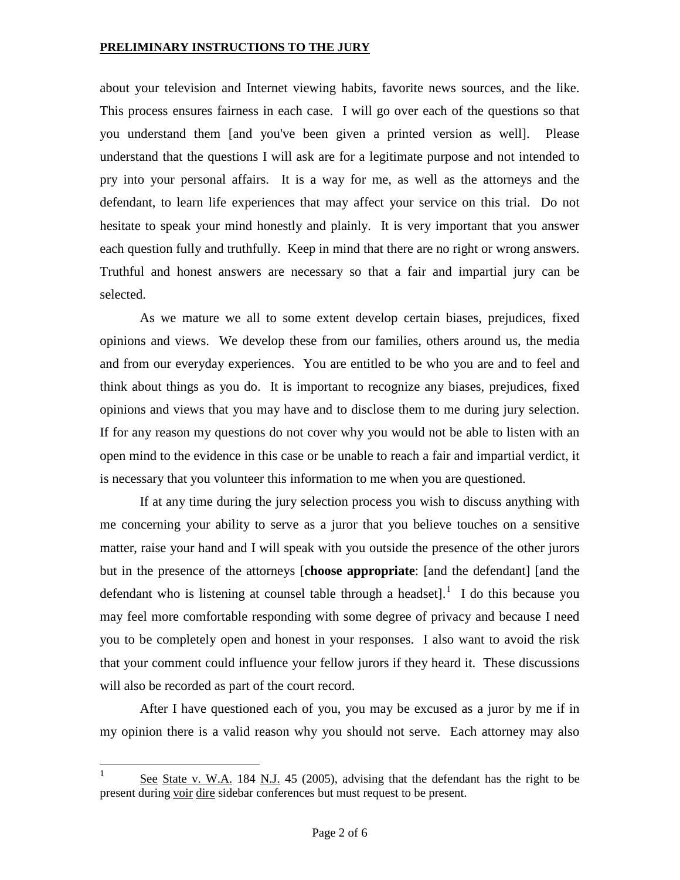about your television and Internet viewing habits, favorite news sources, and the like. This process ensures fairness in each case. I will go over each of the questions so that you understand them [and you've been given a printed version as well]. Please understand that the questions I will ask are for a legitimate purpose and not intended to pry into your personal affairs. It is a way for me, as well as the attorneys and the defendant, to learn life experiences that may affect your service on this trial. Do not hesitate to speak your mind honestly and plainly. It is very important that you answer each question fully and truthfully. Keep in mind that there are no right or wrong answers. Truthful and honest answers are necessary so that a fair and impartial jury can be selected.

As we mature we all to some extent develop certain biases, prejudices, fixed opinions and views. We develop these from our families, others around us, the media and from our everyday experiences. You are entitled to be who you are and to feel and think about things as you do. It is important to recognize any biases, prejudices, fixed opinions and views that you may have and to disclose them to me during jury selection. If for any reason my questions do not cover why you would not be able to listen with an open mind to the evidence in this case or be unable to reach a fair and impartial verdict, it is necessary that you volunteer this information to me when you are questioned.

If at any time during the jury selection process you wish to discuss anything with me concerning your ability to serve as a juror that you believe touches on a sensitive matter, raise your hand and I will speak with you outside the presence of the other jurors but in the presence of the attorneys [**choose appropriate**: [and the defendant] [and the defendant who is listening at counsel table through a headset].<sup>[1](#page-4-0)</sup> I do this because you may feel more comfortable responding with some degree of privacy and because I need you to be completely open and honest in your responses. I also want to avoid the risk that your comment could influence your fellow jurors if they heard it. These discussions will also be recorded as part of the court record.

After I have questioned each of you, you may be excused as a juror by me if in my opinion there is a valid reason why you should not serve. Each attorney may also

<span id="page-1-0"></span>See State v. W.A. 184 N.J. 45 (2005), advising that the defendant has the right to be present during voir dire sidebar conferences but must request to be present.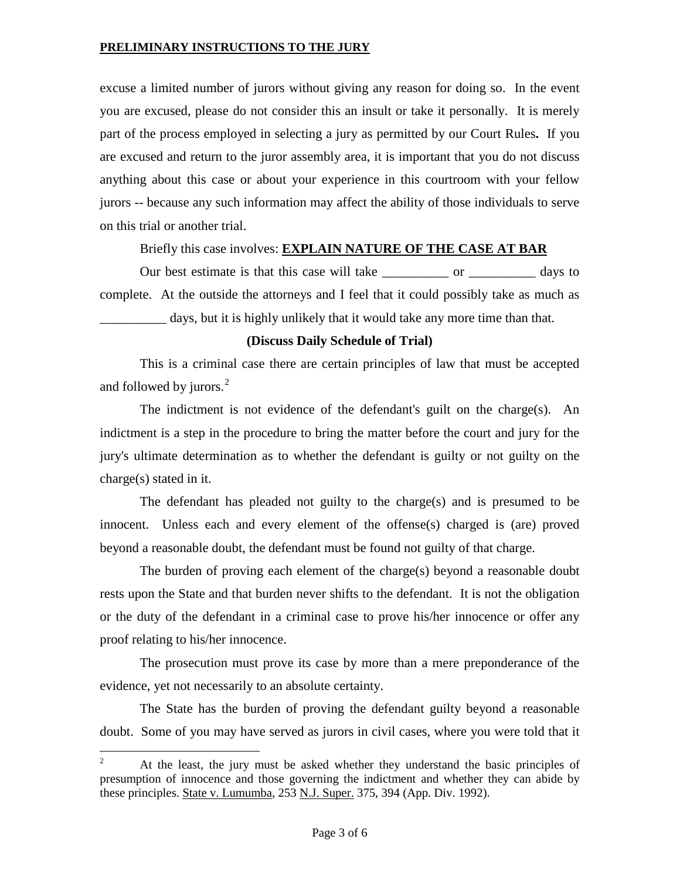excuse a limited number of jurors without giving any reason for doing so. In the event you are excused, please do not consider this an insult or take it personally. It is merely part of the process employed in selecting a jury as permitted by our Court Rules**.** If you are excused and return to the juror assembly area, it is important that you do not discuss anything about this case or about your experience in this courtroom with your fellow jurors -- because any such information may affect the ability of those individuals to serve on this trial or another trial.

Briefly this case involves: **EXPLAIN NATURE OF THE CASE AT BAR**

Our best estimate is that this case will take \_\_\_\_\_\_\_\_\_\_ or \_\_\_\_\_\_\_\_\_\_ days to complete. At the outside the attorneys and I feel that it could possibly take as much as days, but it is highly unlikely that it would take any more time than that.

## **(Discuss Daily Schedule of Trial)**

This is a criminal case there are certain principles of law that must be accepted and followed by jurors. $<sup>2</sup>$  $<sup>2</sup>$  $<sup>2</sup>$ </sup>

The indictment is not evidence of the defendant's guilt on the charge(s). An indictment is a step in the procedure to bring the matter before the court and jury for the jury's ultimate determination as to whether the defendant is guilty or not guilty on the charge(s) stated in it.

The defendant has pleaded not guilty to the charge(s) and is presumed to be innocent. Unless each and every element of the offense(s) charged is (are) proved beyond a reasonable doubt, the defendant must be found not guilty of that charge.

The burden of proving each element of the charge(s) beyond a reasonable doubt rests upon the State and that burden never shifts to the defendant. It is not the obligation or the duty of the defendant in a criminal case to prove his/her innocence or offer any proof relating to his/her innocence.

The prosecution must prove its case by more than a mere preponderance of the evidence, yet not necessarily to an absolute certainty.

The State has the burden of proving the defendant guilty beyond a reasonable doubt. Some of you may have served as jurors in civil cases, where you were told that it

<span id="page-2-0"></span><sup>&</sup>lt;sup>2</sup> At the least, the jury must be asked whether they understand the basic principles of presumption of innocence and those governing the indictment and whether they can abide by these principles. State v. Lumumba, 253 N.J. Super. 375, 394 (App. Div. 1992).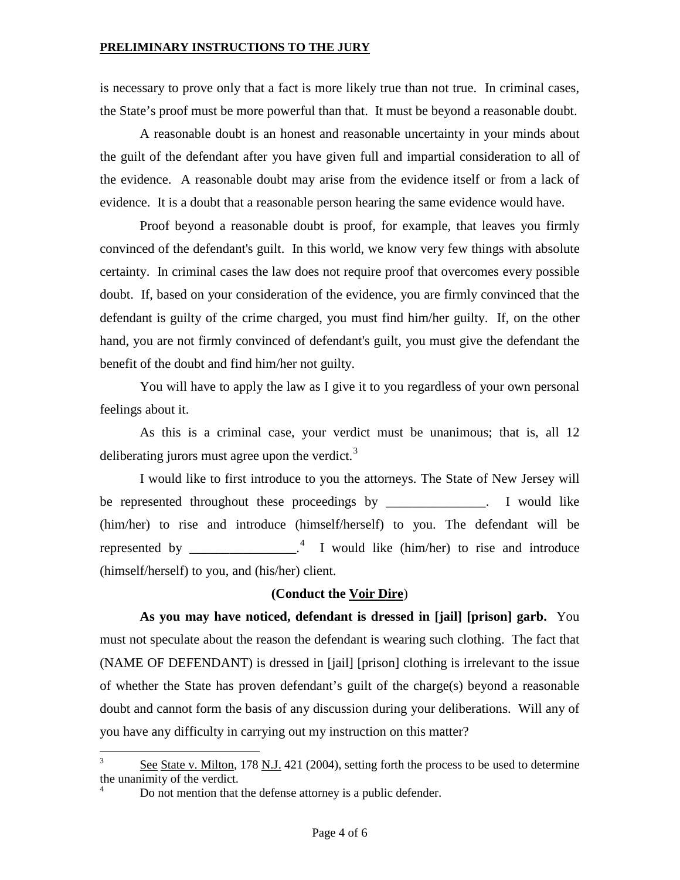is necessary to prove only that a fact is more likely true than not true. In criminal cases, the State's proof must be more powerful than that. It must be beyond a reasonable doubt.

A reasonable doubt is an honest and reasonable uncertainty in your minds about the guilt of the defendant after you have given full and impartial consideration to all of the evidence. A reasonable doubt may arise from the evidence itself or from a lack of evidence. It is a doubt that a reasonable person hearing the same evidence would have.

Proof beyond a reasonable doubt is proof, for example, that leaves you firmly convinced of the defendant's guilt. In this world, we know very few things with absolute certainty. In criminal cases the law does not require proof that overcomes every possible doubt. If, based on your consideration of the evidence, you are firmly convinced that the defendant is guilty of the crime charged, you must find him/her guilty. If, on the other hand, you are not firmly convinced of defendant's guilt, you must give the defendant the benefit of the doubt and find him/her not guilty.

You will have to apply the law as I give it to you regardless of your own personal feelings about it.

As this is a criminal case, your verdict must be unanimous; that is, all 12 deliberating jurors must agree upon the verdict. $3$ 

I would like to first introduce to you the attorneys. The State of New Jersey will be represented throughout these proceedings by \_\_\_\_\_\_\_\_\_\_\_\_. I would like (him/her) to rise and introduce (himself/herself) to you. The defendant will be represented by  $\frac{4}{\pi}$  $\frac{4}{\pi}$  $\frac{4}{\pi}$  I would like (him/her) to rise and introduce (himself/herself) to you, and (his/her) client.

#### **(Conduct the Voir Dire**)

**As you may have noticed, defendant is dressed in [jail] [prison] garb.** You must not speculate about the reason the defendant is wearing such clothing. The fact that (NAME OF DEFENDANT) is dressed in [jail] [prison] clothing is irrelevant to the issue of whether the State has proven defendant's guilt of the charge(s) beyond a reasonable doubt and cannot form the basis of any discussion during your deliberations. Will any of you have any difficulty in carrying out my instruction on this matter?

<span id="page-3-0"></span> $3 \text{ See State v. Milton, } 178 \text{ N.J. } 421 \text{ (2004), setting forth the process to be used to determine }$ the unanimity of the verdict.

Do not mention that the defense attorney is a public defender.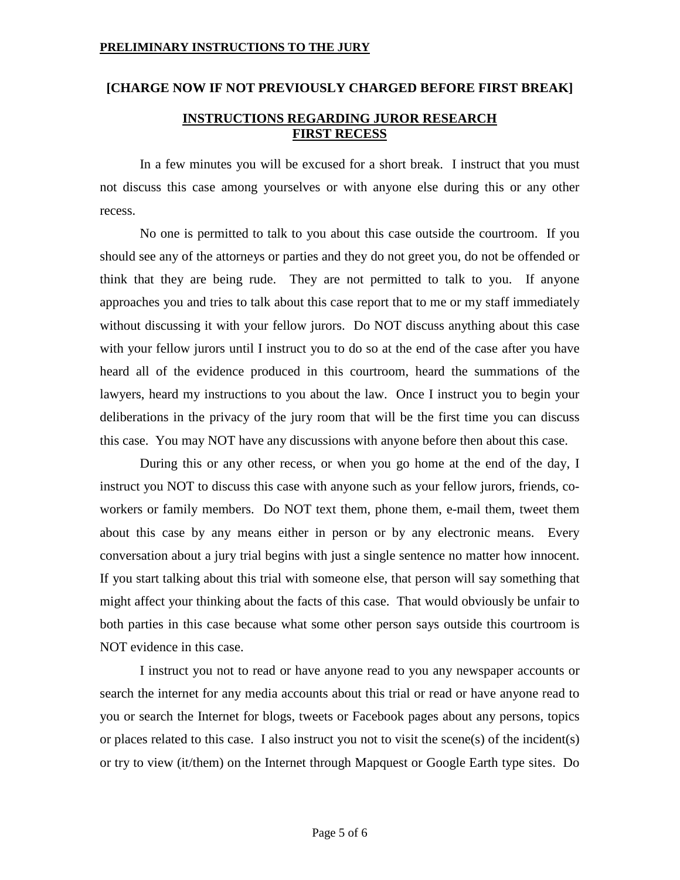# **[CHARGE NOW IF NOT PREVIOUSLY CHARGED BEFORE FIRST BREAK]**

# **INSTRUCTIONS REGARDING JUROR RESEARCH FIRST RECESS**

In a few minutes you will be excused for a short break. I instruct that you must not discuss this case among yourselves or with anyone else during this or any other recess.

No one is permitted to talk to you about this case outside the courtroom. If you should see any of the attorneys or parties and they do not greet you, do not be offended or think that they are being rude. They are not permitted to talk to you. If anyone approaches you and tries to talk about this case report that to me or my staff immediately without discussing it with your fellow jurors. Do NOT discuss anything about this case with your fellow jurors until I instruct you to do so at the end of the case after you have heard all of the evidence produced in this courtroom, heard the summations of the lawyers, heard my instructions to you about the law. Once I instruct you to begin your deliberations in the privacy of the jury room that will be the first time you can discuss this case. You may NOT have any discussions with anyone before then about this case.

During this or any other recess, or when you go home at the end of the day, I instruct you NOT to discuss this case with anyone such as your fellow jurors, friends, coworkers or family members. Do NOT text them, phone them, e-mail them, tweet them about this case by any means either in person or by any electronic means. Every conversation about a jury trial begins with just a single sentence no matter how innocent. If you start talking about this trial with someone else, that person will say something that might affect your thinking about the facts of this case. That would obviously be unfair to both parties in this case because what some other person says outside this courtroom is NOT evidence in this case.

<span id="page-4-0"></span>I instruct you not to read or have anyone read to you any newspaper accounts or search the internet for any media accounts about this trial or read or have anyone read to you or search the Internet for blogs, tweets or Facebook pages about any persons, topics or places related to this case. I also instruct you not to visit the scene(s) of the incident(s) or try to view (it/them) on the Internet through Mapquest or Google Earth type sites. Do